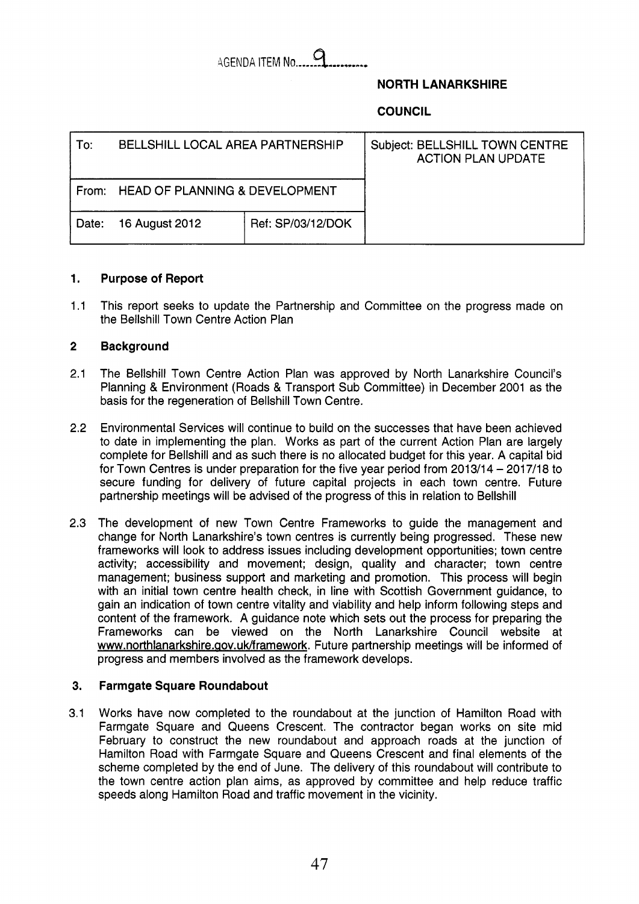### **A**  AGENDA ITEM No....

### **NORTH LANARKSHIRE**

## **COUNCIL**

| To:   | BELLSHILL LOCAL AREA PARTNERSHIP     |                   | Subject: BELLSHILL TOWN CENTRE<br><b>ACTION PLAN UPDATE</b> |
|-------|--------------------------------------|-------------------|-------------------------------------------------------------|
|       | From: HEAD OF PLANNING & DEVELOPMENT |                   |                                                             |
| Date: | 16 August 2012                       | Ref: SP/03/12/DOK |                                                             |

#### **1. Purpose of Report**

1.1 This report seeks to update the Partnership and Committee on the progress made on the Bellshill Town Centre Action Plan

#### **2 Background**

- 2.1 The Bellshill Town Centre Action Plan was approved by North Lanarkshire Council's Planning & Environment (Roads & Transport Sub Committee) in December 2001 as the basis for the regeneration of Bellshill Town Centre.
- 2.2 Environmental Services will continue to build on the successes that have been achieved to date in implementing the plan. Works as part of the current Action Plan are largely complete for Bellshill and as such there is no allocated budget for this year. A capital bid for Town Centres is under preparation for the five year period from  $2013/14 - 2017/18$  to secure funding for delivery of future capital projects in each town centre. Future partnership meetings will be advised of the progress of this in relation to Bellshill
- 2.3 The development of new Town Centre Frameworks to guide the management and change for North Lanarkshire's town centres is currently being progressed. These new frameworks will look to address issues including development opportunities; town centre activity; accessibility and movement; design, quality and character; town centre management; business support and marketing and promotion. This process will begin with an initial town centre health check, in line with Scottish Government guidance, to gain an indication of town centre vitality and viability and help inform following steps and content of the framework. A guidance note which sets out the process for preparing the Frameworks can be viewed on the North Lanarkshire Council website at www.northlanarkshire.aov.uk/framework. Future partnership meetings will be informed of progress and members involved as the framework develops.

#### **3. Farmgate Square Roundabout**

3.1 Works have now completed to the roundabout at the junction of Hamilton Road with Farmgate Square and Queens Crescent. The contractor began works on site mid February to construct the new roundabout and approach roads at the junction of Hamilton Road with Farmgate Square and Queens Crescent and final elements of the scheme completed by the end of June. The delivery of this roundabout will contribute to the town centre action plan aims, as approved by committee and help reduce traffic speeds along Hamilton Road and traffic movement in the vicinity.